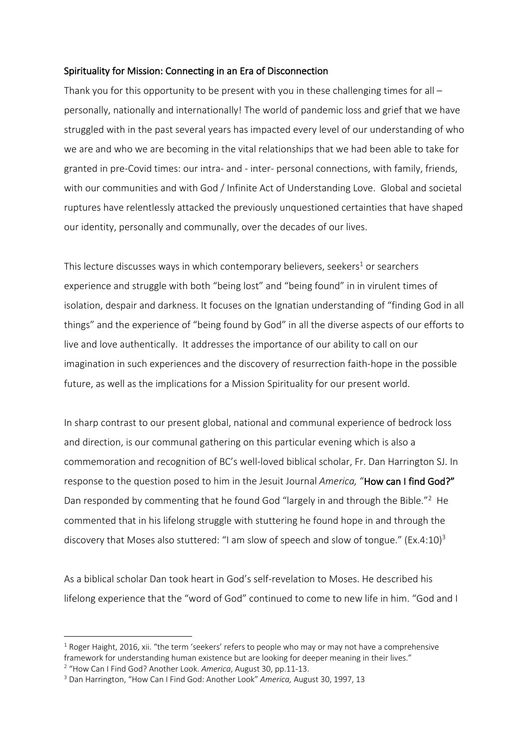### Spirituality for Mission: Connecting in an Era of Disconnection

Thank you for this opportunity to be present with you in these challenging times for all – personally, nationally and internationally! The world of pandemic loss and grief that we have struggled with in the past several years has impacted every level of our understanding of who we are and who we are becoming in the vital relationships that we had been able to take for granted in pre-Covid times: our intra- and - inter- personal connections, with family, friends, with our communities and with God / Infinite Act of Understanding Love. Global and societal ruptures have relentlessly attacked the previously unquestioned certainties that have shaped our identity, personally and communally, over the decades of our lives.

This lecture discusses ways in which contemporary believers, seekers<sup>1</sup> or searchers experience and struggle with both "being lost" and "being found" in in virulent times of isolation, despair and darkness. It focuses on the Ignatian understanding of "finding God in all things" and the experience of "being found by God" in all the diverse aspects of our efforts to live and love authentically. It addresses the importance of our ability to call on our imagination in such experiences and the discovery of resurrection faith-hope in the possible future, as well as the implications for a Mission Spirituality for our present world.

In sharp contrast to our present global, national and communal experience of bedrock loss and direction, is our communal gathering on this particular evening which is also a commemoration and recognition of BC's well-loved biblical scholar, Fr. Dan Harrington SJ. In response to the question posed to him in the Jesuit Journal *America,* "How can I find God?" Dan responded by commenting that he found God "largely in and through the Bible."<sup>2</sup> He commented that in his lifelong struggle with stuttering he found hope in and through the discovery that Moses also stuttered: "I am slow of speech and slow of tongue." (Ex.4:10)<sup>3</sup>

As a biblical scholar Dan took heart in God's self-revelation to Moses. He described his lifelong experience that the "word of God" continued to come to new life in him. "God and I

 $1$  Roger Haight, 2016, xii. "the term 'seekers' refers to people who may or may not have a comprehensive framework for understanding human existence but are looking for deeper meaning in their lives."

<sup>2</sup> "How Can I Find God? Another Look. *America*, August 30, pp.11-13.

<sup>3</sup> Dan Harrington, "How Can I Find God: Another Look" *America,* August 30, 1997, 13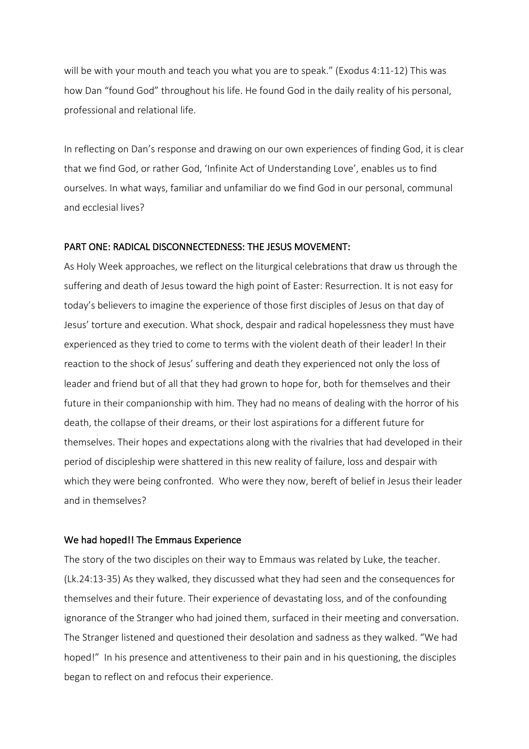will be with your mouth and teach you what you are to speak." (Exodus 4:11-12) This was how Dan "found God" throughout his life. He found God in the daily reality of his personal, professional and relational life.

In reflecting on Dan's response and drawing on our own experiences of finding God, it is clear that we find God, or rather God, 'Infinite Act of Understanding Love', enables us to find ourselves. In what ways, familiar and unfamiliar do we find God in our personal, communal and ecclesial lives?

#### PART ONE: RADICAL DISCONNECTEDNESS: THE JESUS MOVEMENT:

As Holy Week approaches, we reflect on the liturgical celebrations that draw us through the suffering and death of Jesus toward the high point of Easter: Resurrection. It is not easy for today's believers to imagine the experience of those first disciples of Jesus on that day of Jesus' torture and execution. What shock, despair and radical hopelessness they must have experienced as they tried to come to terms with the violent death of their leader! In their reaction to the shock of Jesus' suffering and death they experienced not only the loss of leader and friend but of all that they had grown to hope for, both for themselves and their future in their companionship with him. They had no means of dealing with the horror of his death, the collapse of their dreams, or their lost aspirations for a different future for themselves. Their hopes and expectations along with the rivalries that had developed in their period of discipleship were shattered in this new reality of failure, loss and despair with which they were being confronted. Who were they now, bereft of belief in Jesus their leader and in themselves?

#### We had hoped!! The Emmaus Experience

The story of the two disciples on their way to Emmaus was related by Luke, the teacher. (Lk.24:13-35) As they walked, they discussed what they had seen and the consequences for themselves and their future. Their experience of devastating loss, and of the confounding ignorance of the Stranger who had joined them, surfaced in their meeting and conversation. The Stranger listened and questioned their desolation and sadness as they walked. "We had hoped!" In his presence and attentiveness to their pain and in his questioning, the disciples began to reflect on and refocus their experience.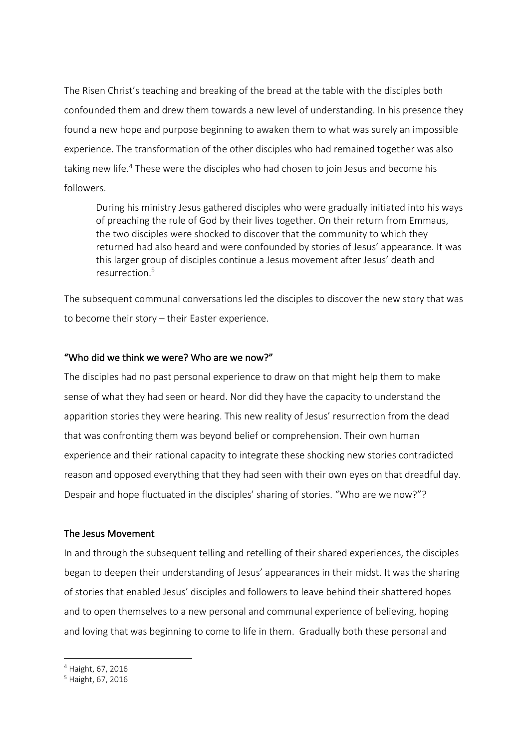The Risen Christ's teaching and breaking of the bread at the table with the disciples both confounded them and drew them towards a new level of understanding. In his presence they found a new hope and purpose beginning to awaken them to what was surely an impossible experience. The transformation of the other disciples who had remained together was also taking new life.<sup>4</sup> These were the disciples who had chosen to join Jesus and become his followers.

During his ministry Jesus gathered disciples who were gradually initiated into his ways of preaching the rule of God by their lives together. On their return from Emmaus, the two disciples were shocked to discover that the community to which they returned had also heard and were confounded by stories of Jesus' appearance. It was this larger group of disciples continue a Jesus movement after Jesus' death and resurrection.5

The subsequent communal conversations led the disciples to discover the new story that was to become their story – their Easter experience.

### "Who did we think we were? Who are we now?"

The disciples had no past personal experience to draw on that might help them to make sense of what they had seen or heard. Nor did they have the capacity to understand the apparition stories they were hearing. This new reality of Jesus' resurrection from the dead that was confronting them was beyond belief or comprehension. Their own human experience and their rational capacity to integrate these shocking new stories contradicted reason and opposed everything that they had seen with their own eyes on that dreadful day. Despair and hope fluctuated in the disciples' sharing of stories. "Who are we now?"?

#### The Jesus Movement

In and through the subsequent telling and retelling of their shared experiences, the disciples began to deepen their understanding of Jesus' appearances in their midst. It was the sharing of stories that enabled Jesus' disciples and followers to leave behind their shattered hopes and to open themselves to a new personal and communal experience of believing, hoping and loving that was beginning to come to life in them. Gradually both these personal and

<sup>4</sup> Haight, 67, 2016

<sup>5</sup> Haight, 67, 2016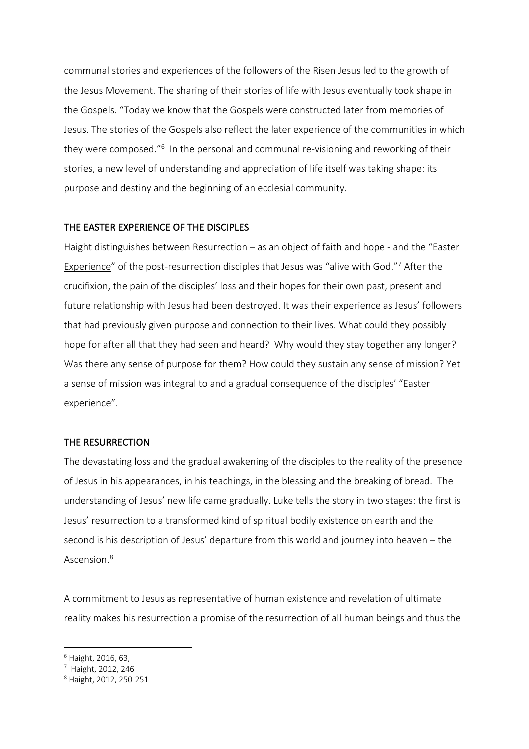communal stories and experiences of the followers of the Risen Jesus led to the growth of the Jesus Movement. The sharing of their stories of life with Jesus eventually took shape in the Gospels. "Today we know that the Gospels were constructed later from memories of Jesus. The stories of the Gospels also reflect the later experience of the communities in which they were composed."6 In the personal and communal re-visioning and reworking of their stories, a new level of understanding and appreciation of life itself was taking shape: its purpose and destiny and the beginning of an ecclesial community.

# THE EASTER EXPERIENCE OF THE DISCIPLES

Haight distinguishes between Resurrection – as an object of faith and hope - and the "Easter Experience" of the post-resurrection disciples that Jesus was "alive with God."7 After the crucifixion, the pain of the disciples' loss and their hopes for their own past, present and future relationship with Jesus had been destroyed. It was their experience as Jesus' followers that had previously given purpose and connection to their lives. What could they possibly hope for after all that they had seen and heard? Why would they stay together any longer? Was there any sense of purpose for them? How could they sustain any sense of mission? Yet a sense of mission was integral to and a gradual consequence of the disciples' "Easter experience".

### THE RESURRECTION

The devastating loss and the gradual awakening of the disciples to the reality of the presence of Jesus in his appearances, in his teachings, in the blessing and the breaking of bread. The understanding of Jesus' new life came gradually. Luke tells the story in two stages: the first is Jesus' resurrection to a transformed kind of spiritual bodily existence on earth and the second is his description of Jesus' departure from this world and journey into heaven – the Ascension.8

A commitment to Jesus as representative of human existence and revelation of ultimate reality makes his resurrection a promise of the resurrection of all human beings and thus the

<sup>6</sup> Haight, 2016, 63,

<sup>7</sup> Haight, 2012, 246

<sup>8</sup> Haight, 2012, 250-251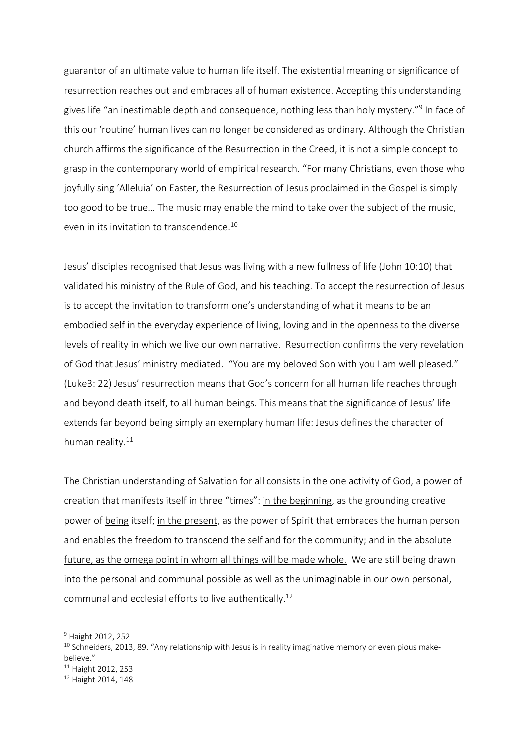guarantor of an ultimate value to human life itself. The existential meaning or significance of resurrection reaches out and embraces all of human existence. Accepting this understanding gives life "an inestimable depth and consequence, nothing less than holy mystery."9 In face of this our 'routine' human lives can no longer be considered as ordinary. Although the Christian church affirms the significance of the Resurrection in the Creed, it is not a simple concept to grasp in the contemporary world of empirical research. "For many Christians, even those who joyfully sing 'Alleluia' on Easter, the Resurrection of Jesus proclaimed in the Gospel is simply too good to be true… The music may enable the mind to take over the subject of the music, even in its invitation to transcendence. 10

Jesus' disciples recognised that Jesus was living with a new fullness of life (John 10:10) that validated his ministry of the Rule of God, and his teaching. To accept the resurrection of Jesus is to accept the invitation to transform one's understanding of what it means to be an embodied self in the everyday experience of living, loving and in the openness to the diverse levels of reality in which we live our own narrative. Resurrection confirms the very revelation of God that Jesus' ministry mediated. "You are my beloved Son with you I am well pleased." (Luke3: 22) Jesus' resurrection means that God's concern for all human life reaches through and beyond death itself, to all human beings. This means that the significance of Jesus' life extends far beyond being simply an exemplary human life: Jesus defines the character of human reality.<sup>11</sup>

The Christian understanding of Salvation for all consists in the one activity of God, a power of creation that manifests itself in three "times": in the beginning, as the grounding creative power of being itself; in the present, as the power of Spirit that embraces the human person and enables the freedom to transcend the self and for the community; and in the absolute future, as the omega point in whom all things will be made whole. We are still being drawn into the personal and communal possible as well as the unimaginable in our own personal, communal and ecclesial efforts to live authentically. 12

<sup>&</sup>lt;sup>9</sup> Haight 2012, 252

 $10$  Schneiders, 2013, 89. "Any relationship with Jesus is in reality imaginative memory or even pious makebelieve."<br><sup>11</sup> Haight 2012, 253<br><sup>12</sup> Haight 2014, 148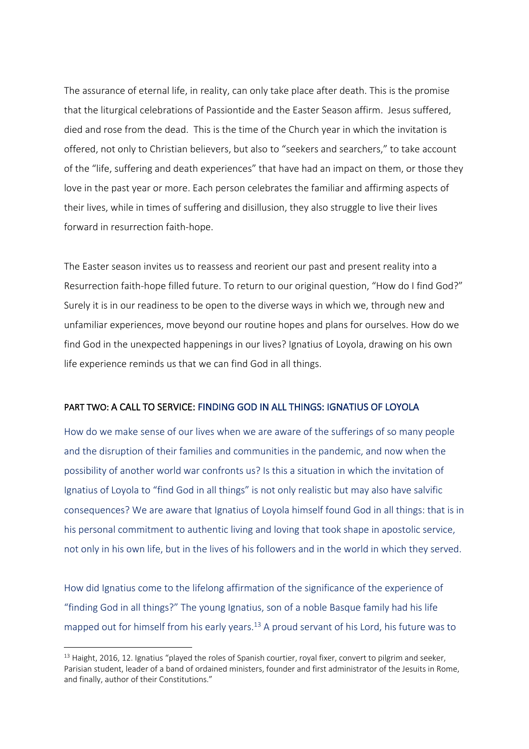The assurance of eternal life, in reality, can only take place after death. This is the promise that the liturgical celebrations of Passiontide and the Easter Season affirm. Jesus suffered, died and rose from the dead. This is the time of the Church year in which the invitation is offered, not only to Christian believers, but also to "seekers and searchers," to take account of the "life, suffering and death experiences" that have had an impact on them, or those they love in the past year or more. Each person celebrates the familiar and affirming aspects of their lives, while in times of suffering and disillusion, they also struggle to live their lives forward in resurrection faith-hope.

The Easter season invites us to reassess and reorient our past and present reality into a Resurrection faith-hope filled future. To return to our original question, "How do I find God?" Surely it is in our readiness to be open to the diverse ways in which we, through new and unfamiliar experiences, move beyond our routine hopes and plans for ourselves. How do we find God in the unexpected happenings in our lives? Ignatius of Loyola, drawing on his own life experience reminds us that we can find God in all things.

### PART TWO: A CALL TO SERVICE: FINDING GOD IN ALL THINGS: IGNATIUS OF LOYOLA

How do we make sense of our lives when we are aware of the sufferings of so many people and the disruption of their families and communities in the pandemic, and now when the possibility of another world war confronts us? Is this a situation in which the invitation of Ignatius of Loyola to "find God in all things" is not only realistic but may also have salvific consequences? We are aware that Ignatius of Loyola himself found God in all things: that is in his personal commitment to authentic living and loving that took shape in apostolic service, not only in his own life, but in the lives of his followers and in the world in which they served.

How did Ignatius come to the lifelong affirmation of the significance of the experience of "finding God in all things?" The young Ignatius, son of a noble Basque family had his life mapped out for himself from his early years.<sup>13</sup> A proud servant of his Lord, his future was to

 $13$  Haight, 2016, 12. Ignatius "played the roles of Spanish courtier, royal fixer, convert to pilgrim and seeker, Parisian student, leader of a band of ordained ministers, founder and first administrator of the Jesuits in Rome, and finally, author of their Constitutions."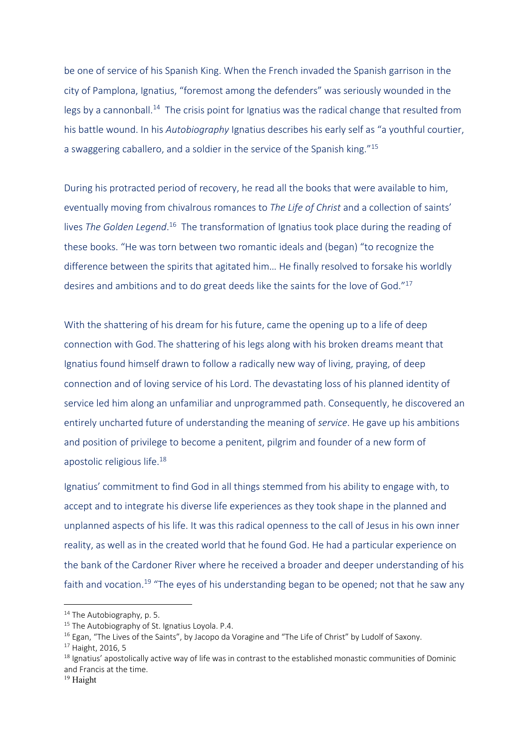be one of service of his Spanish King. When the French invaded the Spanish garrison in the city of Pamplona, Ignatius, "foremost among the defenders" was seriously wounded in the legs by a cannonball.<sup>14</sup> The crisis point for Ignatius was the radical change that resulted from his battle wound. In his *Autobiography* Ignatius describes his early self as "a youthful courtier, a swaggering caballero, and a soldier in the service of the Spanish king."15

During his protracted period of recovery, he read all the books that were available to him, eventually moving from chivalrous romances to *The Life of Christ* and a collection of saints' lives The Golden Legend.<sup>16</sup> The transformation of Ignatius took place during the reading of these books. "He was torn between two romantic ideals and (began) "to recognize the difference between the spirits that agitated him… He finally resolved to forsake his worldly desires and ambitions and to do great deeds like the saints for the love of God."17

With the shattering of his dream for his future, came the opening up to a life of deep connection with God. The shattering of his legs along with his broken dreams meant that Ignatius found himself drawn to follow a radically new way of living, praying, of deep connection and of loving service of his Lord. The devastating loss of his planned identity of service led him along an unfamiliar and unprogrammed path. Consequently, he discovered an entirely uncharted future of understanding the meaning of *service*. He gave up his ambitions and position of privilege to become a penitent, pilgrim and founder of a new form of apostolic religious life.18

Ignatius' commitment to find God in all things stemmed from his ability to engage with, to accept and to integrate his diverse life experiences as they took shape in the planned and unplanned aspects of his life. It was this radical openness to the call of Jesus in his own inner reality, as well as in the created world that he found God. He had a particular experience on the bank of the Cardoner River where he received a broader and deeper understanding of his faith and vocation.<sup>19</sup> "The eyes of his understanding began to be opened; not that he saw any

<sup>&</sup>lt;sup>14</sup> The Autobiography, p. 5.

 $15$  The Autobiography of St. Ignatius Loyola. P.4.

<sup>&</sup>lt;sup>16</sup> Egan, "The Lives of the Saints", by Jacopo da Voragine and "The Life of Christ" by Ludolf of Saxony.<br><sup>17</sup> Haight, 2016, 5

 $18$  Ignatius' apostolically active way of life was in contrast to the established monastic communities of Dominic and Francis at the time.

<sup>19</sup> Haight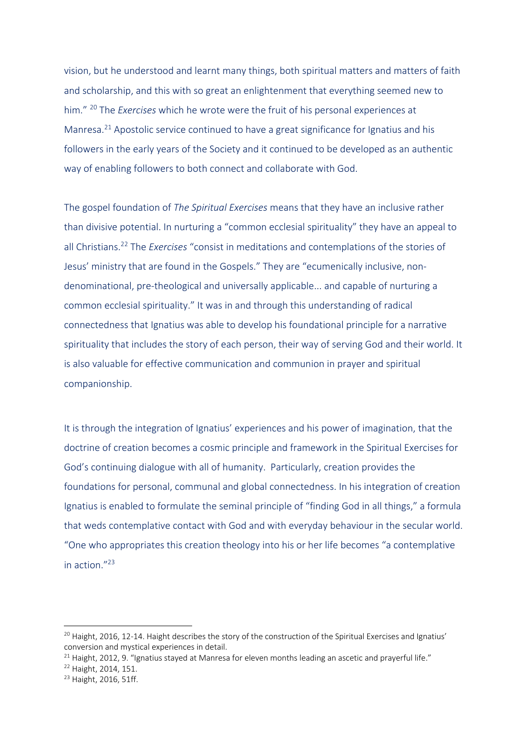vision, but he understood and learnt many things, both spiritual matters and matters of faith and scholarship, and this with so great an enlightenment that everything seemed new to him." 20 The *Exercises* which he wrote were the fruit of his personal experiences at Manresa.21 Apostolic service continued to have a great significance for Ignatius and his followers in the early years of the Society and it continued to be developed as an authentic way of enabling followers to both connect and collaborate with God.

The gospel foundation of *The Spiritual Exercises* means that they have an inclusive rather than divisive potential. In nurturing a "common ecclesial spirituality" they have an appeal to all Christians.22 The *Exercises* "consist in meditations and contemplations of the stories of Jesus' ministry that are found in the Gospels." They are "ecumenically inclusive, nondenominational, pre-theological and universally applicable... and capable of nurturing a common ecclesial spirituality." It was in and through this understanding of radical connectedness that Ignatius was able to develop his foundational principle for a narrative spirituality that includes the story of each person, their way of serving God and their world. It is also valuable for effective communication and communion in prayer and spiritual companionship.

It is through the integration of Ignatius' experiences and his power of imagination, that the doctrine of creation becomes a cosmic principle and framework in the Spiritual Exercises for God's continuing dialogue with all of humanity. Particularly, creation provides the foundations for personal, communal and global connectedness. In his integration of creation Ignatius is enabled to formulate the seminal principle of "finding God in all things," a formula that weds contemplative contact with God and with everyday behaviour in the secular world. "One who appropriates this creation theology into his or her life becomes "a contemplative in action."23

 $20$  Haight, 2016, 12-14. Haight describes the story of the construction of the Spiritual Exercises and Ignatius' conversion and mystical experiences in detail.

<sup>&</sup>lt;sup>21</sup> Haight, 2012, 9. "Ignatius stayed at Manresa for eleven months leading an ascetic and prayerful life."<br><sup>22</sup> Haight, 2014, 151.

<sup>23</sup> Haight, 2016, 51ff.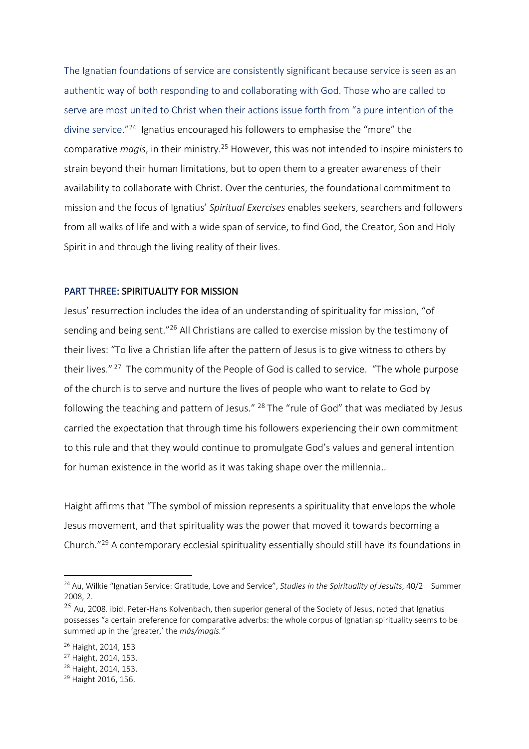The Ignatian foundations of service are consistently significant because service is seen as an authentic way of both responding to and collaborating with God. Those who are called to serve are most united to Christ when their actions issue forth from "a pure intention of the divine service."24 Ignatius encouraged his followers to emphasise the "more" the comparative *magis*, in their ministry.25 However, this was not intended to inspire ministers to strain beyond their human limitations, but to open them to a greater awareness of their availability to collaborate with Christ. Over the centuries, the foundational commitment to mission and the focus of Ignatius' *Spiritual Exercises* enables seekers, searchers and followers from all walks of life and with a wide span of service, to find God, the Creator, Son and Holy Spirit in and through the living reality of their lives.

### PART THREE: SPIRITUALITY FOR MISSION

Jesus' resurrection includes the idea of an understanding of spirituality for mission, "of sending and being sent."26 All Christians are called to exercise mission by the testimony of their lives: "To live a Christian life after the pattern of Jesus is to give witness to others by their lives."<sup>27</sup> The community of the People of God is called to service. "The whole purpose of the church is to serve and nurture the lives of people who want to relate to God by following the teaching and pattern of Jesus." <sup>28</sup> The "rule of God" that was mediated by Jesus carried the expectation that through time his followers experiencing their own commitment to this rule and that they would continue to promulgate God's values and general intention for human existence in the world as it was taking shape over the millennia..

Haight affirms that "The symbol of mission represents a spirituality that envelops the whole Jesus movement, and that spirituality was the power that moved it towards becoming a Church."29 A contemporary ecclesial spirituality essentially should still have its foundations in

<sup>24</sup> Au, Wilkie "Ignatian Service: Gratitude, Love and Service", *Studies in the Spirituality of Jesuits*, 40/2 Summer 2008, 2.

<sup>&</sup>lt;sup>25</sup> Au, 2008. ibid. Peter-Hans Kolvenbach, then superior general of the Society of Jesus, noted that Ignatius possesses "a certain preference for comparative adverbs: the whole corpus of Ignatian spirituality seems to be summed up in the 'greater,' the *más/magis."*

<sup>26</sup> Haight, 2014, 153

<sup>27</sup> Haight, 2014, 153.

<sup>28</sup> Haight, 2014, 153.

<sup>29</sup> Haight 2016, 156.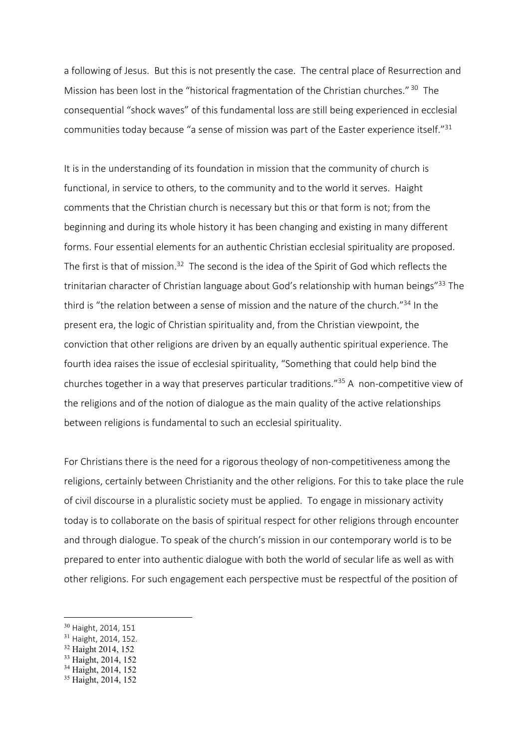a following of Jesus. But this is not presently the case. The central place of Resurrection and Mission has been lost in the "historical fragmentation of the Christian churches." 30 The consequential "shock waves" of this fundamental loss are still being experienced in ecclesial communities today because "a sense of mission was part of the Easter experience itself."31

It is in the understanding of its foundation in mission that the community of church is functional, in service to others, to the community and to the world it serves. Haight comments that the Christian church is necessary but this or that form is not; from the beginning and during its whole history it has been changing and existing in many different forms. Four essential elements for an authentic Christian ecclesial spirituality are proposed. The first is that of mission.<sup>32</sup> The second is the idea of the Spirit of God which reflects the trinitarian character of Christian language about God's relationship with human beings"<sup>33</sup> The third is "the relation between a sense of mission and the nature of the church."<sup>34</sup> In the present era, the logic of Christian spirituality and, from the Christian viewpoint, the conviction that other religions are driven by an equally authentic spiritual experience. The fourth idea raises the issue of ecclesial spirituality, "Something that could help bind the churches together in a way that preserves particular traditions."35 A non-competitive view of the religions and of the notion of dialogue as the main quality of the active relationships between religions is fundamental to such an ecclesial spirituality.

For Christians there is the need for a rigorous theology of non-competitiveness among the religions, certainly between Christianity and the other religions. For this to take place the rule of civil discourse in a pluralistic society must be applied. To engage in missionary activity today is to collaborate on the basis of spiritual respect for other religions through encounter and through dialogue. To speak of the church's mission in our contemporary world is to be prepared to enter into authentic dialogue with both the world of secular life as well as with other religions. For such engagement each perspective must be respectful of the position of

<sup>30</sup> Haight, 2014, 151

<sup>31</sup> Haight, 2014, 152.

<sup>32</sup> Haight 2014, 152

<sup>33</sup> Haight, 2014, 152

<sup>34</sup> Haight, 2014, 152

<sup>&</sup>lt;sup>35</sup> Haight, 2014, 152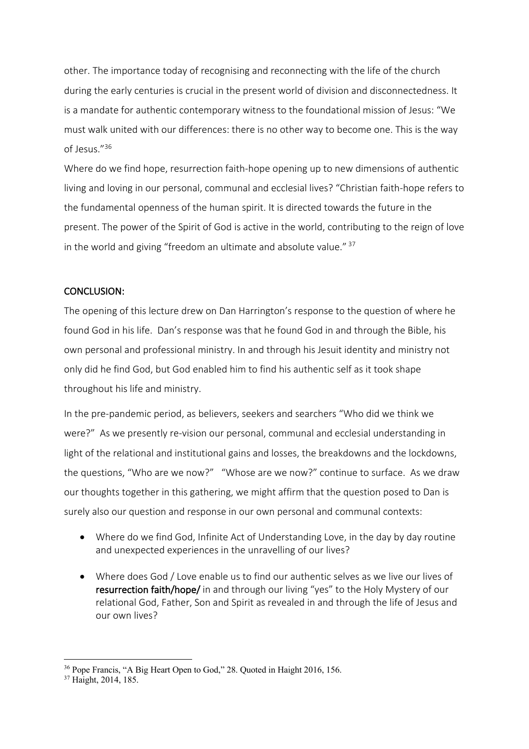other. The importance today of recognising and reconnecting with the life of the church during the early centuries is crucial in the present world of division and disconnectedness. It is a mandate for authentic contemporary witness to the foundational mission of Jesus: "We must walk united with our differences: there is no other way to become one. This is the way of Jesus."36

Where do we find hope, resurrection faith-hope opening up to new dimensions of authentic living and loving in our personal, communal and ecclesial lives? "Christian faith-hope refers to the fundamental openness of the human spirit. It is directed towards the future in the present. The power of the Spirit of God is active in the world, contributing to the reign of love in the world and giving "freedom an ultimate and absolute value." <sup>37</sup>

### CONCLUSION:

The opening of this lecture drew on Dan Harrington's response to the question of where he found God in his life. Dan's response was that he found God in and through the Bible, his own personal and professional ministry. In and through his Jesuit identity and ministry not only did he find God, but God enabled him to find his authentic self as it took shape throughout his life and ministry.

In the pre-pandemic period, as believers, seekers and searchers "Who did we think we were?" As we presently re-vision our personal, communal and ecclesial understanding in light of the relational and institutional gains and losses, the breakdowns and the lockdowns, the questions, "Who are we now?" "Whose are we now?" continue to surface. As we draw our thoughts together in this gathering, we might affirm that the question posed to Dan is surely also our question and response in our own personal and communal contexts:

- Where do we find God, Infinite Act of Understanding Love, in the day by day routine and unexpected experiences in the unravelling of our lives?
- Where does God / Love enable us to find our authentic selves as we live our lives of resurrection faith/hope/ in and through our living "yes" to the Holy Mystery of our relational God, Father, Son and Spirit as revealed in and through the life of Jesus and our own lives?

<sup>&</sup>lt;sup>36</sup> Pope Francis, "A Big Heart Open to God," 28. Quoted in Haight 2016, 156. <sup>37</sup> Haight, 2014, 185.